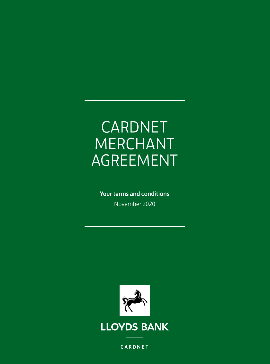# **CARDNET** MERCHANT AGREEMENT

Your terms and conditions November 2020

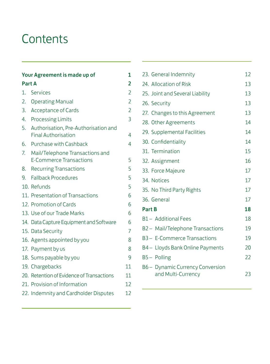## **Contents**

| Your Agreement is made up of |                                                                    | 1              |
|------------------------------|--------------------------------------------------------------------|----------------|
| 2<br>Part A                  |                                                                    |                |
| 1.                           | Services                                                           | $\overline{2}$ |
| 2.                           | <b>Operating Manual</b>                                            | $\overline{2}$ |
| 3.                           | Acceptance of Cards                                                | $\overline{2}$ |
| $\overline{4}$ .             | <b>Processing Limits</b>                                           | 3              |
| 5.                           | Authorisation, Pre-Authorisation and<br><b>Final Authorisation</b> | 4              |
| 6.                           | Purchase with Cashback                                             | 4              |
| 7.                           | Mail/Telephone Transactions and<br>E-Commerce Transactions         | 5              |
| 8.                           | <b>Recurring Transactions</b>                                      | 5              |
| 9.                           | <b>Fallback Procedures</b>                                         | 5              |
|                              | 10. Refunds                                                        | 5              |
|                              | 11. Presentation of Transactions                                   | 6              |
|                              | 12. Promotion of Cards                                             | 6              |
|                              | 13. Use of our Trade Marks                                         | 6              |
|                              | 14. Data Capture Equipment and Software                            | 6              |
|                              | 15. Data Security                                                  | 7              |
|                              | 16. Agents appointed by you                                        | 8              |
|                              | 17. Payment by us                                                  | 8              |
|                              | 18. Sums payable by you                                            | 9              |
|                              | 19. Chargebacks                                                    | 11             |
|                              | 20. Retention of Evidence of Transactions                          | 11             |
|                              | 21. Provision of Information                                       | 12             |
|                              | 22. Indemnity and Cardholder Disputes                              | 12             |

| 23. General Indemnity                                  | 12 |
|--------------------------------------------------------|----|
| 24. Allocation of Risk                                 | 13 |
| 25. Joint and Several Liability                        | 13 |
| 26. Security                                           | 13 |
| 27. Changes to this Agreement                          | 13 |
| 28. Other Agreements                                   | 14 |
| 29. Supplemental Facilities                            | 14 |
| 30. Confidentiality                                    | 14 |
| 31. Termination                                        | 15 |
| 32. Assignment                                         | 16 |
| 33. Force Majeure                                      | 17 |
| 34. Notices                                            | 17 |
| 35. No Third Party Rights                              | 17 |
| 36. General                                            | 17 |
| Part B                                                 | 18 |
| B1- Additional Fees                                    | 18 |
| B2- Mail/Telephone Transactions                        | 19 |
| B <sub>3</sub> - E-Commerce Transactions               | 19 |
| B4- Lloyds Bank Online Payments                        | 20 |
| B5- Polling                                            | 22 |
| B6 - Dynamic Currency Conversion<br>and Multi-Currency | 23 |
|                                                        |    |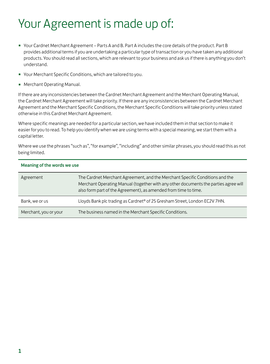## Your Agreement is made up of:

- Your Cardnet Merchant Agreement Parts A and B. Part A includes the core details of the product. Part B provides additional terms if you are undertaking a particular type of transaction or you have taken any additional products. You should read all sections, which are relevant to your business and ask us if there is anything you don't understand.
- Your Merchant Specific Conditions, which are tailored to you.
- Merchant Operating Manual.

If there are any inconsistencies between the Cardnet Merchant Agreement and the Merchant Operating Manual, the Cardnet Merchant Agreement will take priority. If there are any inconsistencies between the Cardnet Merchant Agreement and the Merchant Specific Conditions, the Merchant Specific Conditions will take priority unless stated otherwise in this Cardnet Merchant Agreement.

Where specific meanings are needed for a particular section, we have included them in that section to make it easier for you to read. To help you identify when we are using terms with a special meaning, we start them with a capital letter.

Where we use the phrases "such as", "for example", "including" and other similar phrases, you should read this as not being limited.

| Agreement             | The Cardnet Merchant Agreement, and the Merchant Specific Conditions and the<br>Merchant Operating Manual (together with any other documents the parties agree will<br>also form part of the Agreement), as amended from time to time. |
|-----------------------|----------------------------------------------------------------------------------------------------------------------------------------------------------------------------------------------------------------------------------------|
| Bank, we or us        | Lloyds Bank plc trading as Cardnet® of 25 Gresham Street, London EC2V 7HN.                                                                                                                                                             |
| Merchant, you or your | The business named in the Merchant Specific Conditions.                                                                                                                                                                                |

#### Meaning of the words we use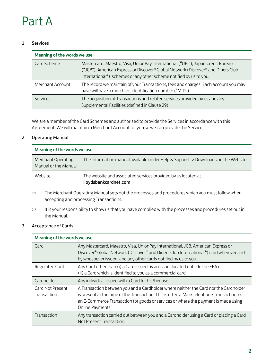## Part A

#### 1. Services

| Meaning of the words we use |                                                                                                                                                                                                                                          |  |
|-----------------------------|------------------------------------------------------------------------------------------------------------------------------------------------------------------------------------------------------------------------------------------|--|
| Card Scheme                 | Mastercard, Maestro, Visa, UnionPay International ("UPI"), Japan Credit Bureau<br>("JCB"), American Express or Discover® Global Network (Discover® and Diners Club<br>International®) schemes or any other scheme notified by us to you. |  |
| Merchant Account            | The record we maintain of your Transactions, fees and charges. Each account you may<br>have will have a merchant identification number ("MID").                                                                                          |  |
| Services                    | The acquisition of Transactions and related services provided by us and any<br>Supplemental Facilities (defined in Clause 29).                                                                                                           |  |

We are a member of the Card Schemes and authorised to provide the Services in accordance with this Agreement. We will maintain a Merchant Account for you so we can provide the Services.

#### 2. Operating Manual

| Meaning of the words we use                |                                                                                        |
|--------------------------------------------|----------------------------------------------------------------------------------------|
| Merchant Operating<br>Manual or the Manual | The information manual available under Help & Support -> Downloads on the Website.     |
| Website                                    | The website and associated services provided by us located at<br>lloydsbankcardnet.com |

- 2.1 The Merchant Operating Manual sets out the processes and procedures which you must follow when accepting and processing Transactions.
- 2.2 It is your responsibility to show us that you have complied with the processes and procedures set out in the Manual.

#### 3. Acceptance of Cards

| Meaning of the words we use     |                                                                                                                                                                                                                                                                                             |  |
|---------------------------------|---------------------------------------------------------------------------------------------------------------------------------------------------------------------------------------------------------------------------------------------------------------------------------------------|--|
| Card                            | Any Mastercard, Maestro, Visa, UnionPay International, JCB, American Express or<br>Discover® Global Network (Discover® and Diners Club International®) card wherever and<br>by whosoever issued, and any other cards notified by us to you.                                                 |  |
| Regulated Card                  | Any Card other than (i) a Card issued by an issuer located outside the EEA or<br>(ii) a Card which is identified to you as a commercial card.                                                                                                                                               |  |
| Cardholder                      | Any individual issued with a Card for his/her use.                                                                                                                                                                                                                                          |  |
| Card Not Present<br>Transaction | A Transaction between you and a Cardholder where neither the Card nor the Cardholder<br>is present at the time of the Transaction. This is often a Mail/Telephone Transaction, or<br>an E-Commerce Transaction for goods or services or where the payment is made using<br>Online Payments. |  |
| Transaction                     | Any transaction carried out between you and a Cardholder using a Card or placing a Card<br>Not Present Transaction.                                                                                                                                                                         |  |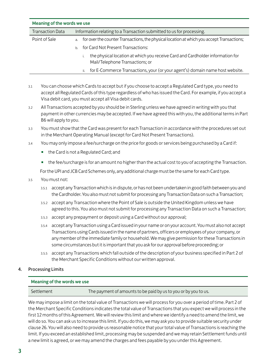| Meaning of the words we use |    |                                                                                                                   |
|-----------------------------|----|-------------------------------------------------------------------------------------------------------------------|
| <b>Transaction Data</b>     |    | Information relating to a Transaction submitted to us for processing.                                             |
| Point of Sale               | a. | for over the counter Transactions, the physical location at which you accept Transactions;                        |
|                             | h. | for Card Not Present Transactions:                                                                                |
|                             |    | the physical location at which you receive Card and Cardholder information for<br>Mail/Telephone Transactions; or |
|                             |    | for E-Commerce Transactions, your (or your agent's) domain name host website.<br>ii.                              |

- 3.1 You can choose which Cards to accept but if you choose to accept a Regulated Card type, you need to accept all Regulated Cards of this type regardless of who has issued the Card. For example, if you accept a Visa debit card, you must accept all Visa debit cards.
- 3.2 All Transactions accepted by you should be in Sterling unless we have agreed in writing with you that payment in other currencies may be accepted. If we have agreed this with you, the additional terms in Part B6 will apply to you.
- 3.3 You must show that the Card was present for each Transaction in accordance with the procedures set out in the Merchant Operating Manual (except for Card Not Present Transactions).
- 3.4 You may only impose a fee/surcharge on the price for goods or services being purchased by a Card if:
	- the Card is not a Regulated Card; and
	- the fee/surcharge is for an amount no higher than the actual cost to you of accepting the Transaction.

For the UPI and JCB Card Schemes only, any additional charge must be the same for each Card type.

- 3.5 You must not:
	- 3.5.1 accept any Transaction which is in dispute, or has not been undertaken in good faith between you and the Cardholder. You also must not submit for processing any Transaction Data on such a Transaction;
	- 3.5.2 accept any Transaction where the Point of Sale is outside the United Kingdom unless we have agreed to this. You also must not submit for processing any Transaction Data on such a Transaction;
	- 3.5.3 accept any prepayment or deposit using a Card without our approval;
	- 3.5.4 accept any Transaction using a Card issued in your name or on your account. You must also not accept Transactions using Cards issued in the name of partners, officers or employees of your company, or any member of the immediate family or household. We may give permission for these Transactions in some circumstances but it is important that you ask for our approval before proceeding; or
	- 3.5.5 accept any Transactions which fall outside of the description of your business specified in Part 2 of the Merchant Specific Conditions without our written approval.

#### 4. Processing Limits

#### Meaning of the words we use

Settlement The payment of amounts to be paid by us to you or by you to us.

We may impose a limit on the total value of Transactions we will process for you over a period of time. Part 2 of the Merchant Specific Conditions indicates the total value of Transactions that you expect we will process in the first 12 months of this Agreement. We will review this limit and where we identify a need to amend the limit, we will do so. You can ask us to increase this limit. If you do this, we may ask you to provide suitable security under clause 26. You will also need to provide us reasonable notice that your total value of Transactions is reaching the limit. If you exceed an established limit, processing may be suspended and we may retain Settlement funds until a new limit is agreed, or we may amend the charges and fees payable by you under this Agreement.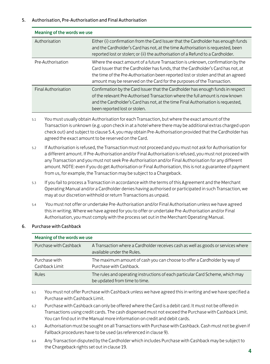#### 5. Authorisation, Pre-Authorisation and Final Authorisation

| <b>INCALING OF THE WORLD WE USE</b> |                                                                                                                                                                                                                                                                                                                                     |  |
|-------------------------------------|-------------------------------------------------------------------------------------------------------------------------------------------------------------------------------------------------------------------------------------------------------------------------------------------------------------------------------------|--|
| Authorisation                       | Either (i) confirmation from the Card Issuer that the Cardholder has enough funds<br>and the Cardholder's Card has not, at the time Authorisation is requested, been<br>reported lost or stolen; or (ii) the authorisation of a Refund to a Cardholder.                                                                             |  |
| Pre-Authorisation                   | Where the exact amount of a future Transaction is unknown, confirmation by the<br>Card Issuer that the Cardholder has funds, that the Cardholder's Card has not, at<br>the time of the Pre-Authorisation been reported lost or stolen and that an agreed<br>amount may be reserved on the Card for the purposes of the Transaction. |  |
| Final Authorisation                 | Confirmation by the Card Issuer that the Cardholder has enough funds in respect<br>of the relevant Pre-Authorised Transaction where the full amount is now known<br>and the Cardholder's Card has not, at the time Final Authorisation is requested,<br>been reported lost or stolen.                                               |  |

### Meaning of the words we use

- 5.1 You must usually obtain Authorisation for each Transaction, but where the exact amount of the Transaction is unknown (e.g. upon check in at a hotel where there may be additional extras charged upon check out) and subject to clause 5.4, you may obtain Pre-Authorisation provided that the Cardholder has agreed the exact amount to be reserved on the Card.
- 5.2 If Authorisation is refused, the Transaction must not proceed and you must not ask for Authorisation for a different amount. If Pre-Authorisation and/or Final Authorisation is refused, you must not proceed with any Transaction and you must not seek Pre-Authorisation and/or Final Authorisation for any different amount. NOTE: even if you do get Authorisation or Final Authorisation, this is not a guarantee of payment from us, for example, the Transaction may be subject to a Chargeback.
- 5.3 If you fail to process a Transaction in accordance with the terms of this Agreement and the Merchant Operating Manual and/or a Cardholder denies having authorised or participated in such Transaction, we may at our discretion withhold or return Transactions as unpaid.
- 5.4 You must not offer or undertake Pre-Authorisation and/or Final Authorisation unless we have agreed this in writing. Where we have agreed for you to offer or undertake Pre-Authorisation and/or Final Authorisation, you must comply with the process set out in the Merchant Operating Manual.

#### 6. Purchase with Cashback

| Meaning of the words we use     |                                                                                                                 |  |
|---------------------------------|-----------------------------------------------------------------------------------------------------------------|--|
| Purchase with Cashback          | A Transaction where a Cardholder receives cash as well as goods or services where<br>available under the Rules. |  |
| Purchase with<br>Cashback Limit | The maximum amount of cash you can choose to offer a Cardholder by way of<br>Purchase with Cashback.            |  |
| Rules                           | The rules and operating instructions of each particular Card Scheme, which may<br>be updated from time to time. |  |

- 6.1 You must not offer Purchase with Cashback unless we have agreed this in writing and we have specified a Purchase with Cashback Limit.
- 6.2 Purchase with Cashback can only be offered where the Card is a debit card. It must not be offered in Transactions using credit cards. The cash dispensed must not exceed the Purchase with Cashback Limit. You can find out in the Manual more information on credit and debit cards.
- 6.3 Authorisation must be sought on all Transactions with Purchase with Cashback. Cash must not be given if Fallback procedures have to be used (as referenced in clause 9).
- 6.4 Any Transaction disputed by the Cardholder which includes Purchase with Cashback may be subject to the Chargeback rights set out in clause 19.  $\overline{a}$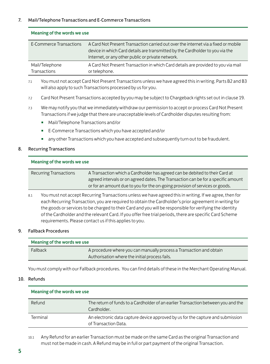#### 7. Mail/Telephone Transactions and E-Commerce Transactions

| E-Commerce Transactions        | A Card Not Present Transaction carried out over the internet via a fixed or mobile<br>device in which Card details are transmitted by the Cardholder to you via the<br>Internet, or any other public or private network. |
|--------------------------------|--------------------------------------------------------------------------------------------------------------------------------------------------------------------------------------------------------------------------|
| Mail/Telephone<br>Transactions | A Card Not Present Transaction in which Card details are provided to you via mail<br>or telephone.                                                                                                                       |

#### 7.1 You must not accept Card Not Present Transactions unless we have agreed this in writing. Parts B2 and B3 will also apply to such Transactions processed by us for you.

- 7.2 Card Not Present Transactions accepted by you may be subject to Chargeback rights set out in clause 19.
- 7.3 We may notify you that we immediately withdraw our permission to accept or process Card Not Present Transactions if we judge that there are unacceptable levels of Cardholder disputes resulting from:
	- Mail/Telephone Transactions and/or
	- E-Commerce Transactions which you have accepted and/or
	- any other Transactions which you have accepted and subsequently turn out to be fraudulent.

#### 8. Recurring Transactions

#### Meaning of the words we use

Meaning of the words we use

| <b>Recurring Transactions</b> | A Transaction which a Cardholder has agreed can be debited to their Card at       |
|-------------------------------|-----------------------------------------------------------------------------------|
|                               | agreed intervals or on agreed dates. The Transaction can be for a specific amount |
|                               | or for an amount due to you for the on-going provision of services or goods.      |
|                               |                                                                                   |

8.1 You must not accept Recurring Transactions unless we have agreed this in writing. If we agree, then for each Recurring Transaction, you are required to obtain the Cardholder's prior agreement in writing for the goods or services to be charged to their Card and you will be responsible for verifying the identity of the Cardholder and the relevant Card. If you offer free trial periods, there are specific Card Scheme requirements. Please contact us if this applies to you.

#### 9. Fallback Procedures

| Meaning of the words we use |                                                                     |  |
|-----------------------------|---------------------------------------------------------------------|--|
| Fallback                    | A procedure where you can manually process a Transaction and obtain |  |
|                             | Authorisation where the initial process fails.                      |  |

You must comply with our Fallback procedures. You can find details of these in the Merchant Operating Manual.

#### 10. Refunds

#### Meaning of the words we use

| Refund   | The return of funds to a Cardholder of an earlier Transaction between you and the<br>Cardholder.        |
|----------|---------------------------------------------------------------------------------------------------------|
| Terminal | An electronic data capture device approved by us for the capture and submission<br>of Transaction Data. |

10.1 Any Refund for an earlier Transaction must be made on the same Card as the original Transaction and must not be made in cash. A Refund may be in full or part payment of the original Transaction.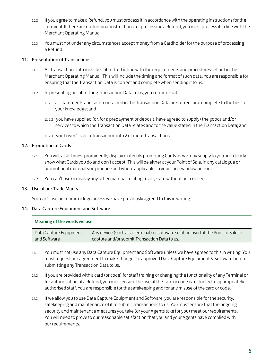- 10.2 If you agree to make a Refund, you must process it in accordance with the operating instructions for the Terminal. If there are no Terminal instructions for processing a Refund, you must process it in line with the Merchant Operating Manual.
- 10.3 You must not under any circumstances accept money from a Cardholder for the purpose of processing a Refund.

#### 11. Presentation of Transactions

- 11.1 All Transaction Data must be submitted in line with the requirements and procedures set out in the Merchant Operating Manual. This will include the timing and format of such data. You are responsible for ensuring that the Transaction Data is correct and complete when sending it to us.
- 11.2 In presenting or submitting Transaction Data to us, you confirm that:
	- 11.2.1 all statements and facts contained in the Transaction Data are correct and complete to the best of your knowledge; and
	- 11.2.2 you have supplied (or, for a prepayment or deposit, have agreed to supply) the goods and/or services to which the Transaction Data relates and to the value stated in the Transaction Data; and
	- 11.2.3 you haven't split a Transaction into 2 or more Transactions.

#### 12. Promotion of Cards

- 12.1 You will, at all times, prominently display materials promoting Cards as we may supply to you and clearly show what Cards you do and don't accept. This will be either at your Point of Sale, in any catalogue or promotional material you produce and where applicable, in your shop window or front.
- 12.2 You can't use or display any other material relating to any Card without our consent.

#### 13. Use of our Trade Marks

You can't use our name or logo unless we have previously agreed to this in writing.

#### 14. Data Capture Equipment and Software

#### Meaning of the words we use

| Data Capture Equipment | Any device (such as a Terminal) or software solution used at the Point of Sale to |
|------------------------|-----------------------------------------------------------------------------------|
| and Software           | capture and/or submit Transaction Data to us.                                     |

- 14.1 You must not use any Data Capture Equipment and Software unless we have agreed to this in writing. You must request our agreement to make changes to approved Data Capture Equipment & Software before submitting any Transaction Data to us.
- 14.2 If you are provided with a card (or code) for staff training or changing the functionality of any Terminal or for authorisation of a Refund, you must ensure the use of the card or code is restricted to appropriately authorised staff. You are responsible for the safekeeping and for any misuse of the card or code.
- 14.3 If we allow you to use Data Capture Equipment and Software, you are responsible for the security, safekeeping and maintenance of it to submit Transactions to us. You must ensure that the ongoing security and maintenance measures you take (or your Agents take for you) meet our requirements. You will need to prove to our reasonable satisfaction that you and your Agents have complied with our requirements.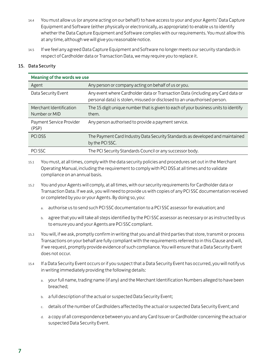- 14.4 You must allow us (or anyone acting on our behalf) to have access to your and your Agents' Data Capture Equipment and Software (either physically or electronically, as appropriate) to enable us to identify whether the Data Capture Equipment and Software complies with our requirements. You must allow this at any time, although we will give you reasonable notice.
- 14.5 If we feel any agreed Data Capture Equipment and Software no longer meets our security standards in respect of Cardholder data or Transaction Data, we may require you to replace it.

#### 15. Data Security

| Meaning of the words we use              |                                                                                                                                                              |  |
|------------------------------------------|--------------------------------------------------------------------------------------------------------------------------------------------------------------|--|
| Agent                                    | Any person or company acting on behalf of us or you.                                                                                                         |  |
| Data Security Event                      | Any event where Cardholder data or Transaction Data (including any Card data or<br>personal data) is stolen, misused or disclosed to an unauthorised person. |  |
| Merchant Identification<br>Number or MID | The 15 digit unique number that is given to each of your business units to identify<br>them.                                                                 |  |
| Payment Service Provider<br>(PSP)        | Any person authorised to provide a payment service.                                                                                                          |  |
| PCI DSS                                  | The Payment Card Industry Data Security Standards as developed and maintained<br>by the PCI SSC.                                                             |  |
| PCI SSC                                  | The PCI Security Standards Council or any successor body.                                                                                                    |  |

15.1 You must, at all times, comply with the data security policies and procedures set out in the Merchant Operating Manual, including the requirement to comply with PCI DSS at all times and to validate compliance on an annual basis.

15.2 You and your Agents will comply, at all times, with our security requirements for Cardholder data or Transaction Data. If we ask, you will need to provide us with copies of any PCI SSC documentation received or completed by you or your Agents. By doing so, you:

- a. authorise us to send such PCI SSC documentation to a PCI SSC assessor for evaluation; and
- b. agree that you will take all steps identified by the PCI SSC assessor as necessary or as instructed by us to ensure you and your Agents are PCI SSC compliant.
- 15.3 You will, if we ask, promptly confirm in writing that you and all third parties that store, transmit or process Transactions on your behalf are fully compliant with the requirements referred to in this Clause and will, if we request, promptly provide evidence of such compliance. You will ensure that a Data Security Event does not occur.
- 15.4 If a Data Security Event occurs or if you suspect that a Data Security Event has occurred, you will notify us in writing immediately providing the following details:
	- a. your full name, trading name (if any) and the Merchant Identification Numbers alleged to have been breached;
	- b. a full description of the actual or suspected Data Security Event;
	- c. details of the number of Cardholders affected by the actual or suspected Data Security Event; and
	- d. a copy of all correspondence between you and any Card Issuer or Cardholder concerning the actual or suspected Data Security Event.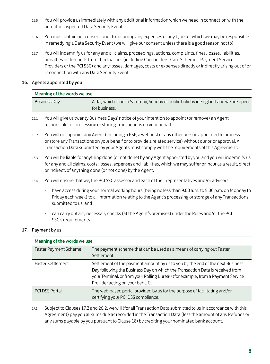- 15.5 You will provide us immediately with any additional information which we need in connection with the actual or suspected Data Security Event.
- 15.6 You must obtain our consent prior to incurring any expenses of any type for which we may be responsible in remedying a Data Security Event (we will give our consent unless there is a good reason not to).
- 15.7 You will indemnify us for any and all claims, proceedings, actions, complaints, fines, losses, liabilities, penalties or demands from third parties (including Cardholders, Card Schemes, Payment Service Providers or the PCI SSC) and any losses, damages, costs or expenses directly or indirectly arising out of or in connection with any Data Security Event.

#### 16. Agents appointed by you

| Meaning of the words we use |                     |                                                                                                                                                                       |
|-----------------------------|---------------------|-----------------------------------------------------------------------------------------------------------------------------------------------------------------------|
|                             | <b>Business Day</b> | A day which is not a Saturday, Sunday or public holiday in England and we are open<br>for business.                                                                   |
| 16.1                        |                     | You will give us twenty Business Days' notice of your intention to appoint (or remove) an Agent<br>responsible for processing or storing Transactions on your behalf. |

- 16.2 You will not appoint any Agent (including a PSP, a webhost or any other person appointed to process or store any Transactions on your behalf or to provide a related service) without our prior approval. All Transaction Data submitted by your Agents must comply with the requirements of this Agreement.
- 16.3 You will be liable for anything done (or not done) by any Agent appointed by you and you will indemnify us for any and all claims, costs, losses, expenses and liabilities, which we may suffer or incur as a result, direct or indirect, of anything done (or not done) by the Agent.
- 16.4 You will ensure that we, the PCI SSC assessor and each of their representatives and/or advisors:
	- a. have access during your normal working hours (being no less than 9.00 a.m. to 5.00 p.m. on Monday to Friday each week) to all information relating to the Agent's processing or storage of any Transactions submitted to us; and
	- b. can carry out any necessary checks (at the Agent's premises) under the Rules and/or the PCI SSC's requirements.

#### 17. Payment by us

| Meaning of the words we use  |                                                                                                                                                                                                                                                                                       |  |
|------------------------------|---------------------------------------------------------------------------------------------------------------------------------------------------------------------------------------------------------------------------------------------------------------------------------------|--|
| <b>Faster Payment Scheme</b> | The payment scheme that can be used as a means of carrying out Faster<br>Settlement.                                                                                                                                                                                                  |  |
| <b>Faster Settlement</b>     | Settlement of the payment amount by us to you by the end of the next Business<br>Day following the Business Day on which the Transaction Data is received from<br>your Terminal, or from your Polling Bureau (for example, from a Payment Service<br>Provider acting on your behalf). |  |
| PCI DSS Portal               | The web-based portal provided by us for the purpose of facilitating and/or<br>certifying your PCI DSS compliance.                                                                                                                                                                     |  |
|                              |                                                                                                                                                                                                                                                                                       |  |

17.1 Subject to Clauses 17.2 and 26.2, we will (for all Transaction Data submitted to us in accordance with this Agreement) pay you all sums due as recorded in the Transaction Data (less the amount of any Refunds or any sums payable by you pursuant to Clause 18) by crediting your nominated bank account.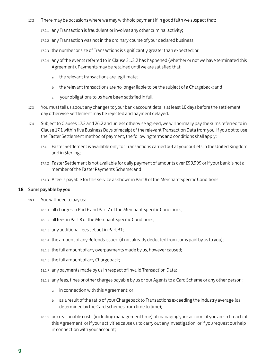- 17.2 There may be occasions where we may withhold payment if in good faith we suspect that:
	- 17.2.1 any Transaction is fraudulent or involves any other criminal activity;
	- 17.2.2 any Transaction was not in the ordinary course of your declared business;
	- 17.2.3 the number or size of Transactions is significantly greater than expected; or
	- 17.2.4 any of the events referred to in Clause 31.3.2 has happened (whether or not we have terminated this Agreement). Payments may be retained until we are satisfied that;
		- a. the relevant transactions are legitimate;
		- b. the relevant transactions are no longer liable to be the subject of a Chargeback; and
		- c. your obligations to us have been satisfied in full.
- 17.3 You must tell us about any changes to your bank account details at least 10 days before the settlement day otherwise Settlement may be rejected and payment delayed.
- 17.4 Subject to Clauses 17.2 and 26.2 and unless otherwise agreed, we will normally pay the sums referred to in Clause 17.1 within five Business Days of receipt of the relevant Transaction Data from you. If you opt to use the Faster Settlement method of payment, the following terms and conditions shall apply:
	- 17.4.1 Faster Settlement is available only for Transactions carried out at your outlets in the United Kingdom and in Sterling;
	- 17.4.2 Faster Settlement is not available for daily payment of amounts over £99,999 or if your bank is not a member of the Faster Payments Scheme; and
	- 17.4.3 A fee is payable for this service as shown in Part 8 of the Merchant Specific Conditions.

#### 18. Sums payable by you

- 18.1 You will need to pay us:
	- 18.1.1 all charges in Part 6 and Part 7 of the Merchant Specific Conditions;
	- 18.1.2 all fees in Part 8 of the Merchant Specific Conditions;
	- 18.1.3 any additional fees set out in Part B1;
	- 18.1.4 the amount of any Refunds issued (if not already deducted from sums paid by us to you);
	- 18.1.5 the full amount of any overpayments made by us, however caused;
	- 18.1.6 the full amount of any Chargeback;
	- 18.1.7 any payments made by us in respect of invalid Transaction Data;
	- 18.1.8 any fees, fines or other charges payable by us or our Agents to a Card Scheme or any other person:
		- a. in connection with this Agreement; or
		- b. as a result of the ratio of your Chargeback to Transactions exceeding the industry average (as determined by the Card Schemes from time to time);
	- 18.1.9 our reasonable costs (including management time) of managing your account if you are in breach of this Agreement, or if your activities cause us to carry out any investigation, or if you request our help in connection with your account;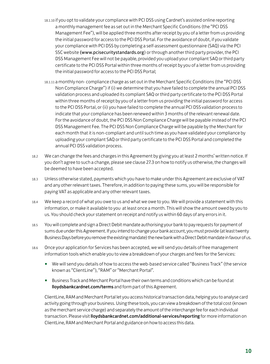- 18.1.10 if you opt to validate your compliance with PCI DSS using Cardnet's assisted online reporting a monthly management fee as set out in the Merchant Specific Conditions (the "PCI DSS Management Fee"), will be applied three months after receipt by you of a letter from us providing the initial password for access to the PCI DSS Portal. For the avoidance of doubt, if you validate your compliance with PCI DSS by completing a self-assessment questionnaire (SAQ) via the PCI SSC website (www.pcisecuritystandards.org) or through another third party provider, the PCI DSS Management Fee will not be payable, provided you upload your compliant SAQ or third party certificate to the PCI DSS Portal within three months of receipt by you of a letter from us providing the initial password for access to the PCI DSS Portal;
- 18.1.11 a monthly non- compliance charge as set out in the Merchant Specific Conditions (the "PCI DSS Non Compliance Charge") if (i) we determine that you have failed to complete the annual PCI DSS validation process and uploaded its compliant SAQ or third party certificate to the PCI DSS Portal within three months of receipt by you of a letter from us providing the initial password for access to the PCI DSS Portal, or (ii) you have failed to complete the annual PCI DSS validation process to indicate that your compliance has been renewed within 3 months of the relevant renewal date. For the avoidance of doubt, the PCI DSS Non Compliance Charge will be payable instead of the PCI DSS Management Fee. The PCI DSS Non Compliance Charge will be payable by the Merchant for each month that it is non-compliant and until such time as you have validated your compliance by uploading your compliant SAQ or third party certificate to the PCI DSS Portal and completed the annual PCI DSS validation process.
- 18.2 We can change the fees and charges in this Agreement by giving you at least 2 months' written notice. If you don't agree to such a change, please see clause 27.3 on how to notify us otherwise, the changes will be deemed to have been accepted.
- 18.3 Unless otherwise stated, payments which you have to make under this Agreement are exclusive of VAT and any other relevant taxes. Therefore, in addition to paying these sums, you will be responsible for paying VAT as applicable and any other relevant taxes.
- 18.4 We keep a record of what you owe to us and what we owe to you. We will provide a statement with this information, or make it available to you at least once a month. This will show the amount owed by you to us. You should check your statement on receipt and notify us within 60 days of any errors in it.
- 18.5 You will complete and sign a Direct Debit mandate authorising your bank to pay requests for payment of sums due under this Agreement. If you intend to change your bank account, you must provide (at least twenty Business Days before you remove the existing mandate) the new bank with a Direct Debit mandate in favour of us.
- 18.6 Once your application for Services has been accepted, we will send you details of free management information tools which enable you to view a breakdown of your charges and fees for the Services:
	- We will send you details of how to access the web-based service called "Business Track" (the service known as "ClientLine"), "RAM" or "Merchant Portal".
	- Business Track and Merchant Portal have their own terms and conditions which can be found at lloydsbankcardnet.com/terms and form part of this Agreement.

ClientLine, RAM and Merchant Portal let you access historical transaction data, helping you to analyse card activity going through your business. Using these tools, you can view a breakdown of the total cost (known as the merchant service charge) and separately the amount of the interchange fee for each individual transaction. Please visit lloydsbankcardnet.com/additional-services/reporting for more information on ClientLine, RAM and Merchant Portal and guidance on how to access this data.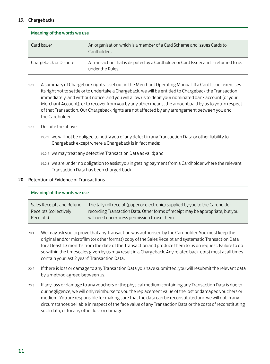#### 19. Chargebacks

| Card Issuer           | An organisation which is a member of a Card Scheme and issues Cards to<br>Cardholders.                  |
|-----------------------|---------------------------------------------------------------------------------------------------------|
| Chargeback or Dispute | A Transaction that is disputed by a Cardholder or Card Issuer and is returned to us<br>under the Rules. |

#### Meaning of the words we use

19.1 A summary of Chargeback rights is set out in the Merchant Operating Manual. If a Card Issuer exercises its right not to settle or to undertake a Chargeback, we will be entitled to Chargeback the Transaction immediately, and without notice, and you will allow us to debit your nominated bank account (or your Merchant Account), or to recover from you by any other means, the amount paid by us to you in respect of that Transaction. Our Chargeback rights are not affected by any arrangement between you and the Cardholder.

#### 19.2 Despite the above:

- 19.2.1 we will not be obliged to notify you of any defect in any Transaction Data or other liability to Chargeback except where a Chargeback is in fact made;
- 19.2.2 we may treat any defective Transaction Data as valid; and
- 19.2.3 we are under no obligation to assist you in getting payment from a Cardholder where the relevant Transaction Data has been charged back.

#### 20. Retention of Evidence of Transactions

| Meaning of the words we use |                                                                                |
|-----------------------------|--------------------------------------------------------------------------------|
| Sales Receipts and Refund   | The tally roll receipt (paper or electronic) supplied by you to the Cardholder |
| Receipts (collectively      | recording Transaction Data. Other forms of receipt may be appropriate, but you |
| Receipts)                   | will need our express permission to use them.                                  |

- 20.1 We may ask you to prove that any Transaction was authorised by the Cardholder. You must keep the original and/or microfilm (or other format) copy of the Sales Receipt and systematic Transaction Data for at least 13 months from the date of the Transaction and produce them to us on request. Failure to do so within the timescales given by us may result in a Chargeback. Any related back-up(s) must at all times contain your last 2 years' Transaction Data.
- 20.2 If there is loss or damage to any Transaction Data you have submitted, you will resubmit the relevant data by a method agreed between us.
- 20.3 If any loss or damage to any vouchers or the physical medium containing any Transaction Data is due to our negligence, we will only reimburse to you the replacement value of the lost or damaged vouchers or medium. You are responsible for making sure that the data can be reconstituted and we will not in any circumstances be liable in respect of the face value of any Transaction Data or the costs of reconstituting such data, or for any other loss or damage.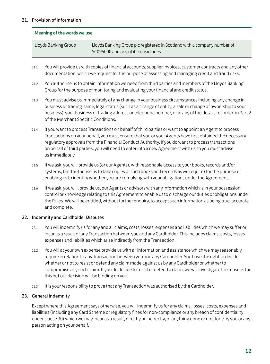#### 21. Provision of Information

|      | Lloyds Banking Group                          | Lloyds Banking Group plc registered in Scotland with a company number of<br>SC095000 and any of its subsidiaries.                                                                                                                                                                                                                                                                                                          |
|------|-----------------------------------------------|----------------------------------------------------------------------------------------------------------------------------------------------------------------------------------------------------------------------------------------------------------------------------------------------------------------------------------------------------------------------------------------------------------------------------|
| 21.1 |                                               | You will provide us with copies of financial accounts, supplier invoices, customer contracts and any other<br>documentation, which we request for the purpose of assessing and managing credit and fraud risks.                                                                                                                                                                                                            |
| 21.2 |                                               | You authorise us to obtain information we need from third parties and members of the Lloyds Banking<br>Group for the purpose of monitoring and evaluating your financial and credit status.                                                                                                                                                                                                                                |
| 21.3 | of the Merchant Specific Conditions.          | You must advise us immediately of any change in your business circumstances including any change in<br>business or trading name, legal status (such as a change of entity, a sale or change of ownership to your<br>business), your business or trading address or telephone number, or in any of the details recorded in Part 2                                                                                           |
| 21.4 | us immediately.                               | If you want to process Transactions on behalf of third parties or want to appoint an Agent to process<br>Transactions on your behalf, you must ensure that you or your Agents have first obtained the necessary<br>regulatory approvals from the Financial Conduct Authority. If you do want to process transactions<br>on behalf of third parties, you will need to enter into a new Agreement with us so you must advise |
| 21.5 |                                               | If we ask, you will provide us (or our Agents), with reasonable access to your books, records and/or<br>systems, (and authorise us to take copies of such books and records as we require) for the purpose of<br>enabling us to identify whether you are complying with your obligations under the Agreement.                                                                                                              |
| 21.6 | and complete.                                 | If we ask, you will, provide us, our Agents or advisors with any information which is in your possession,<br>control or knowledge relating to this Agreement to enable us to discharge our duties or obligations under<br>the Rules. We will be entitled, without further enquiry, to accept such information as being true, accurate                                                                                      |
|      | 22. Indemnity and Cardholder Disputes         |                                                                                                                                                                                                                                                                                                                                                                                                                            |
| 22.1 |                                               | You will indemnify us for any and all claims, costs, losses, expenses and liabilities which we may suffer or<br>incur as a result of any Transaction between you and any Cardholder. This includes claims, costs, losses<br>expenses and liabilities which arise indirectly from the Transaction.                                                                                                                          |
| 22.2 | this but our decision will be binding on you. | You will at your own expense provide us with all information and assistance which we may reasonably<br>require in relation to any Transaction between you and any Cardholder. You have the right to decide<br>whether or not to resist or defend any claim made against us by any Cardholder or whether to<br>compromise any such claim. If you do decide to resist or defend a claim, we will investigate the reasons for |

22.3 It is your responsibility to prove that any Transaction was authorised by the Cardholder.

#### 23. General Indemnity

Except where this Agreement says otherwise, you will indemnify us for any claims, losses, costs, expenses and liabilities (including any Card Scheme or regulatory fines for non-compliance or any breach of confidentiality under clause 30) which we may incur as a result, directly or indirectly, of anything done or not done by you or any person acting on your behalf.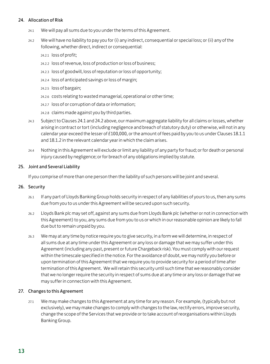#### 24. Allocation of Risk

- 24.1 We will pay all sums due to you under the terms of this Agreement.
- 24.2 We will have no liability to pay you for (i) any indirect, consequential or special loss; or (ii) any of the following, whether direct, indirect or consequential:
	- 24.2.1 loss of profit;
	- 24.2.2 loss of revenue, loss of production or loss of business;
	- 24.2.3 loss of goodwill, loss of reputation or loss of opportunity;
	- 24.2.4 loss of anticipated savings or loss of margin;
	- 24.2.5 loss of bargain;
	- 24.2.6 costs relating to wasted managerial, operational or other time;
	- 24.2.7 loss of or corruption of data or information;
	- 24.2.8 claims made against you by third parties.
- 24.3 Subject to Clauses 24.1 and 24.2 above, our maximum aggregate liability for all claims or losses, whether arising in contract or tort (including negligence and breach of statutory duty) or otherwise, will not in any calendar year exceed the lesser of £100,000, or the amount of fees paid by you to us under Clauses 18.1.1 and 18.1.2 in the relevant calendar year in which the claim arises.
- 24.4 Nothing in this Agreement will exclude or limit any liability of any party for fraud; or for death or personal injury caused by negligence; or for breach of any obligations implied by statute.

#### 25. Joint and Several Liability

If you comprise of more than one person then the liability of such persons will be joint and several.

#### 26. Security

- 26.1 If any part of Lloyds Banking Group holds security in respect of any liabilities of yours to us, then any sums due from you to us under this Agreement will be secured upon such security.
- 26.2 Lloyds Bank plc may set off, against any sums due from Lloyds Bank plc (whether or not in connection with this Agreement) to you, any sums due from you to us or which in our reasonable opinion are likely to fall due but to remain unpaid by you.
- 26.3 We may at any time by notice require you to give security, in a form we will determine, in respect of all sums due at any time under this Agreement or any loss or damage that we may suffer under this Agreement (including any past, present or future Chargeback risk). You must comply with our request within the timescale specified in the notice. For the avoidance of doubt, we may notify you before or upon termination of this Agreement that we require you to provide security for a period of time after termination of this Agreement. We will retain this security until such time that we reasonably consider that we no longer require the security in respect of sums due at any time or any loss or damage that we may suffer in connection with this Agreement.

#### 27. Changes to this Agreement

27.1 We may make changes to this Agreement at any time for any reason. For example, (typically but not exclusively), we may make changes to comply with changes to the law, rectify errors, improve security, change the scope of the Services that we provide or to take account of reorganisations within Lloyds Banking Group.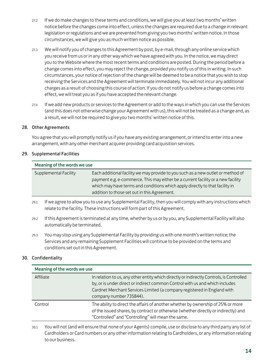- 27.2 If we do make changes to these terms and conditions, we will give you at least two months' written notice before the changes come into effect, unless the changes are required due to a change in relevant legislation or regulations and we are prevented from giving you two months' written notice. In those circumstances, we will give you as much written notice as possible.
- 27.3 We will notify you of changes to this Agreement by post, by e-mail, through any online service which you receive from us or in any other way which we have agreed with you. In the notice, we may direct you to the Website where the most recent terms and conditions are posted. During the period before a change comes into effect, you may reject the change, provided you notify us of this in writing. In such circumstances, your notice of rejection of the change will be deemed to be a notice that you wish to stop receiving the Services and the Agreement will terminate immediately. You will not incur any additional charges as a result of choosing this course of action. If you do not notify us before a change comes into effect, we will treat you as if you have accepted the relevant change.
- 27.4 If we add new products or services to the Agreement or add to the ways in which you can use the Services (and this does not otherwise change your Agreement with us), this will not be treated as a change and, as a result, we will not be required to give you two months' written notice of this.

#### 28. Other Agreements

You agree that you will promptly notify us if you have any existing arrangement, or intend to enter into a new arrangement, with any other merchant acquirer providing card acquisition services.

#### 29. Supplemental Facilities

| Meaning of the words we use |                                                                                                                                                                                                                                                                                                      |  |
|-----------------------------|------------------------------------------------------------------------------------------------------------------------------------------------------------------------------------------------------------------------------------------------------------------------------------------------------|--|
| Supplemental Facility       | Each additional facility we may provide to you such as a new outlet or method of<br>payment e.g. e-commerce. This may either be a current facility or a new facility<br>which may have terms and conditions which apply directly to that facility in<br>addition to those set out in this Agreement. |  |
| 29.1                        | If we agree to allow you to use any Supplemental Facility, then you will comply with any instructions which                                                                                                                                                                                          |  |

- 29.2 If this Agreement is terminated at any time, whether by us or by you, any Supplemental Facility will also automatically be terminated.
- 29.3 You may stop using any Supplemental Facility by providing us with one month's written notice; the Services and any remaining Supplement Facilities will continue to be provided on the terms and conditions set out in this Agreement.

relate to the facility. These instructions will form part of this Agreement.

#### 30. Confidentiality

| Meaning of the words we use |                                                                                                                                                                                                                                                                                |  |
|-----------------------------|--------------------------------------------------------------------------------------------------------------------------------------------------------------------------------------------------------------------------------------------------------------------------------|--|
| Affiliate                   | In relation to us, any other entity which directly or indirectly Controls, is Controlled<br>by, or is under direct or indirect common Control with us and which includes<br>Cardnet Merchant Services Limited (a company registered in England with<br>company number 735844). |  |
| Control                     | The ability to direct the affairs of another whether by ownership of 25% or more<br>of the issued shares, by contract or otherwise (whether directly or indirectly) and<br>"Controlled" and "Controlling" will mean the same.                                                  |  |

30.1 You will not (and will ensure that none of your Agents) compile, use or disclose to any third party any list of Cardholders or Card numbers or any other information relating to Cardholders, or any information relating to our business.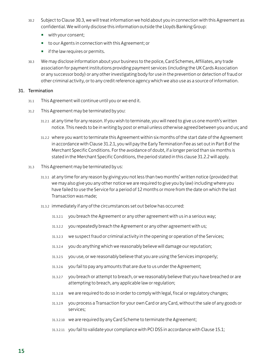- 30.2 Subject to Clause 30.3, we will treat information we hold about you in connection with this Agreement as confidential. We will only disclose this information outside the Lloyds Banking Group:
	- with your consent;
	- to our Agents in connection with this Agreement; or
	- if the law requires or permits.
- 30.3 We may disclose information about your business to the police, Card Schemes, Affiliates, any trade association for payment institutions providing payment services (including the UK Cards Association or any successor body) or any other investigating body for use in the prevention or detection of fraud or other criminal activity, or to any credit reference agency which we also use as a source of information.

#### 31. Termination

- 31.1 This Agreement will continue until you or we end it.
- 31.2 This Agreement may be terminated by you:
	- 31.2.1 at any time for any reason. If you wish to terminate, you will need to give us one month's written notice. This needs to be in writing by post or email unless otherwise agreed between you and us; and
	- 31.2.2 where you want to terminate this Agreement within six months of the start date of the Agreement in accordance with Clause 31.2.1, you will pay the Early Termination Fee as set out in Part 8 of the Merchant Specific Conditions. For the avoidance of doubt, if a longer period than six months is stated in the Merchant Specific Conditions, the period stated in this clause 31.2.2 will apply.
- 31.3 This Agreement may be terminated by us:
	- 31.3.1 at any time for any reason by giving you not less than two months' written notice (provided that we may also give you any other notice we are required to give you by law) including where you have failed to use the Service for a period of 12 months or more from the date on which the last Transaction was made;
	- 31.3.2 immediately if any of the circumstances set out below has occurred:
		- 31.3.2.1 you breach the Agreement or any other agreement with us in a serious way;
		- 31.3.2.2 you repeatedly breach the Agreement or any other agreement with us;
		- 31.3.2.3 we suspect fraud or criminal activity in the opening or operation of the Services;
		- 31.3.2.4 you do anything which we reasonably believe will damage our reputation;
		- 31.3.2.5 you use, or we reasonably believe that you are using the Services improperly;
		- 31.3.2.6 you fail to pay any amounts that are due to us under the Agreement;
		- 31.3.2.7 you breach or attempt to breach, or we reasonably believe that you have breached or are attempting to breach, any applicable law or regulation;
		- 31.3.2.8 we are required to do so in order to comply with legal, fiscal or regulatory changes;
		- 31.3.2.9 you process a Transaction for your own Card or any Card, without the sale of any goods or services;
		- 31.3.2.10 we are required by any Card Scheme to terminate the Agreement;
		- 31.3.2.11 you fail to validate your compliance with PCI DSS in accordance with Clause 15.1;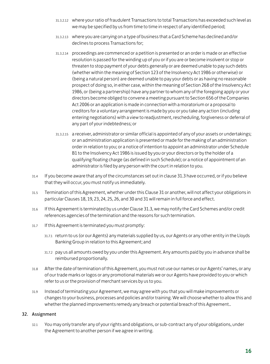- 31.3.2.12 where your ratio of fraudulent Transactions to total Transactions has exceeded such level as we may be specified by us from time to time in respect of any identified period;
- 31.3.2.13 where you are carrying on a type of business that a Card Scheme has declined and/or declines to process Transactions for;
- 31.3.2.14 proceedings are commenced or a petition is presented or an order is made or an effective resolution is passed for the winding up of you or if you are or become insolvent or stop or threaten to stop payment of your debts generally or are deemed unable to pay such debts (whether within the meaning of Section 123 of the Insolvency Act 1986 or otherwise) or (being a natural person) are deemed unable to pay your debts or as having no reasonable prospect of doing so, in either case, within the meaning of Section 268 of the Insolvency Act 1986, or (being a partnership) have any partner to whom any of the foregoing apply or your directors become obliged to convene a meeting pursuant to Section 656 of the Companies Act 2006 or an application is made in connection with a moratorium or a proposal to creditors for a voluntary arrangement is made by you or you take any action (including entering negotiations) with a view to readjustment, rescheduling, forgiveness or deferral of any part of your indebtedness; or
- 31.3.2.15 a receiver, administrator or similar official is appointed of any of your assets or undertakings; or an administration application is presented or made for the making of an administration order in relation to you; or a notice of intention to appoint an administrator under Schedule B1 to the Insolvency Act 1986 is issued by you or your directors or by the holder of a qualifying floating charge (as defined in such Schedule); or a notice of appointment of an administrator is filed by any person with the court in relation to you.
- 31.4 If you become aware that any of the circumstances set out in clause 31.3 have occurred, or if you believe that they will occur, you must notify us immediately.
- 31.5 Termination of this Agreement, whether under this Clause 31 or another, will not affect your obligations in particular Clauses 18, 19, 23, 24, 25, 26, and 30 and 31 will remain in full force and effect.
- 31.6 If this Agreement is terminated by us under Clause 31.3, we may notify the Card Schemes and/or credit references agencies of the termination and the reasons for such termination.
- 31.7 If this Agreement is terminated you must promptly:
	- 31.7.1 return to us (or our Agents) any materials supplied by us, our Agents or any other entity in the Lloyds Banking Group in relation to this Agreement; and
	- 31.7.2 pay us all amounts owed by you under this Agreement. Any amounts paid by you in advance shall be reimbursed proportionally.
- 31.8 After the date of termination of this Agreement, you must not use our names or our Agents' names, or any of our trade marks or logos or any promotional materials we or our Agents have provided to you or which refer to us or the provision of merchant services by us to you.
- 31.9 Instead of terminating your Agreement, we may agree with you that you will make improvements or changes to your business, processes and policies and/or training. We will choose whether to allow this and whether the planned improvements remedy any breach or potential breach of this Agreement..

#### 32. Assignment

32.1 You may only transfer any of your rights and obligations, or sub-contract any of your obligations, under the Agreement to another person if we agree in writing.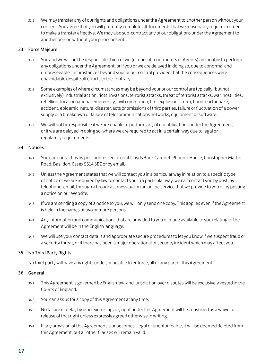32.2 We may transfer any of our rights and obligations under the Agreement to another person without your consent. You agree that you will promptly complete all documents that we reasonably require in order to make a transfer effective. We may also sub-contract any of our obligations under the Agreement to another person without your prior consent.

#### 33. Force Majeure

- 33.1 You and we will not be responsible if you or we (or our sub-contractors or Agents) are unable to perform any obligations under the Agreement, or if you or we are delayed in doing so, due to abnormal and unforeseeable circumstances beyond your or our control provided that the consequences were unavoidable despite all efforts to the contrary.
- 33.2 Some examples of where circumstances may be beyond your or our control are typically (but not exclusively) industrial action, riots, invasions, terrorist attacks, threat of terrorist attacks, war, hostilities, rebellion, local or national emergency, civil commotion, fire, explosion, storm, flood, earthquake, accident, epidemic, natural disaster, acts or omissions of third parties, failure or fluctuation of a power supply or a breakdown or failure of telecommunications networks, equipment or software.
- 33.3 We will not be responsible if we are unable to perform any of our obligations under the Agreement, or if we are delayed in doing so, where we are required to act in a certain way due to legal or regulatory requirements.

#### 34. Notices

- 34.1 You can contact us by post addressed to us at Lloyds Bank Cardnet, Phoenix House, Christopher Martin Road, Basildon, Essex SS14 3EZ or by email.
- 34.2 Unless the Agreement states that we will contact you in a particular way in relation to a specific type of notice or we are required by law to contact you in a particular way, we can contact you by post, by telephone, email, through a broadcast message on an online service that we provide to you or by posting a notice on our Website.
- 34.3 If we are sending a copy of a notice to you, we will only send one copy. This applies even if the Agreement is held in the names of two or more persons.
- 34.4 Any information and communications that are provided to you or made available to you relating to the Agreement will be in the English language.
- 34.5 We will use your contact details and appropriate secure procedures to let you know if we suspect fraud or a security threat, or if there has been a major operational or security incident which may affect you.

#### 35. No Third Party Rights

No third party will have any rights under, or be able to enforce, all or any part of this Agreement.

#### 36. General

- 36.1 This Agreement is governed by English law, and jurisdiction over disputes will be exclusively vested in the Courts of England.
- 36.2 You can ask us for a copy of this Agreement at any time.
- 36.3 No failure or delay by us in exercising any right under this Agreement will be construed as a waiver or release of that right unless expressly agreed otherwise in writing.
- 36.4 If any provision of this Agreement is or becomes illegal or unenforceable, it will be deemed deleted from this Agreement, but all other Clauses will remain valid.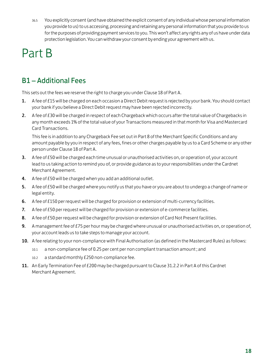36.5 You explicitly consent (and have obtained the explicit consent of any individual whose personal information you provide to us) to us accessing, processing and retaining any personal information that you provide to us for the purposes of providing payment services to you. This won't affect any rights any of us have under data protection legislation. You can withdraw your consent by ending your agreement with us.

## Part B

### B1 – Additional Fees

This sets out the fees we reserve the right to charge you under Clause 18 of Part A.

- 1. A fee of £15 will be charged on each occasion a Direct Debit request is rejected by your bank. You should contact your bank if you believe a Direct Debit request may have been rejected incorrectly.
- 2. A fee of £30 will be charged in respect of each Chargeback which occurs after the total value of Chargebacks in any month exceeds 1% of the total value of your Transactions measured in that month for Visa and Mastercard Card Transactions.

This fee is in addition to any Chargeback Fee set out in Part 8 of the Merchant Specific Conditions and any amount payable by you in respect of any fees, fines or other charges payable by us to a Card Scheme or any other person under Clause 18 of Part A.

- 3. A fee of £50 will be charged each time unusual or unauthorised activities on, or operation of, your account lead to us taking action to remind you of, or provide guidance as to your responsibilities under the Cardnet Merchant Agreement.
- 4. A fee of £50 will be charged when you add an additional outlet.
- 5. A fee of £50 will be charged where you notify us that you have or you are about to undergo a change of name or legal entity.
- 6. A fee of £150 per request will be charged for provision or extension of multi-currency facilities.
- 7. A fee of £50 per request will be charged for provision or extension of e-commerce facilities.
- 8. A fee of £50 per request will be charged for provision or extension of Card Not Present facilities.
- 9. A management fee of £75 per hour may be charged where unusual or unauthorised activities on, or operation of, your account leads us to take steps to manage your account.
- 10. A fee relating to your non-compliance with Final Authorisation (as defined in the Mastercard Rules) as follows:
	- 10.1 a non-compliance fee of 0.25 per cent per non compliant transaction amount ; and
	- 10.2 a standard monthly £250 non-compliance fee.
- 11. An Early Termination Fee of £200 may be charged pursuant to Clause 31.2.2 in Part A of this Cardnet Merchant Agreement.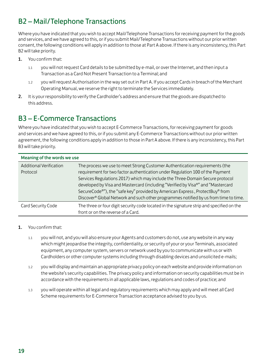## B2 – Mail/Telephone Transactions

Where you have indicated that you wish to accept Mail/Telephone Transactions for receiving payment for the goods and services, and we have agreed to this, or if you submit Mail/Telephone Transactions without our prior written consent, the following conditions will apply in addition to those at Part A above. If there is any inconsistency, this Part B2 will take priority.

- 1. You confirm that:
	- 1.1 you will not request Card details to be submitted by e-mail, or over the Internet, and then input a Transaction as a Card Not Present Transaction to a Terminal; and
	- 1.2 you will request Authorisation in the way set out in Part A. If you accept Cards in breach of the Merchant Operating Manual, we reserve the right to terminate the Services immediately.
- 2. It is your responsibility to verify the Cardholder's address and ensure that the goods are dispatched to this address.

### B3 – E-Commerce Transactions

Where you have indicated that you wish to accept E-Commerce Transactions, for receiving payment for goods and services and we have agreed to this, or if you submit any E-Commerce Transactions without our prior written agreement, the following conditions apply in addition to those in Part A above. If there is any inconsistency, this Part B3 will take priority.

| Meaning of the words we use    |                                                                                           |  |
|--------------------------------|-------------------------------------------------------------------------------------------|--|
| <b>Additional Verification</b> | The process we use to meet Strong Customer Authentication requirements (the               |  |
| Protocol                       | requirement for two factor authentication under Regulation 100 of the Payment             |  |
|                                | Services Regulations 2017) which may include the Three-Domain Secure protocol             |  |
|                                | developed by Visa and Mastercard (including "Verified by Visa®" and "Mastercard           |  |
|                                | SecureCode®"), the "safe key" provided by American Express, ProtectBuy® from              |  |
|                                | Discover® Global Network and such other programmes notified by us from time to time.      |  |
| Card Security Code             | The three or four digit security code located in the signature strip and specified on the |  |
|                                | front or on the reverse of a Card.                                                        |  |

- 1. You confirm that:
	- 1.1 you will not, and you will also ensure your Agents and customers do not, use any website in any way which might jeopardise the integrity, confidentiality, or security of your or your Terminals, associated equipment, any computer system, servers or network used by you to communicate with us or with Cardholders or other computer systems including through disabling devices and unsolicited e-mails;
	- 1.2 you will display and maintain an appropriate privacy policy on each website and provide information on the website's security capabilities. The privacy policy and information on security capabilities must be in accordance with the requirements in all applicable laws, regulations and codes of practice; and
	- 1.3 you will operate within all legal and regulatory requirements which may apply and will meet all Card Scheme requirements for E-Commerce Transaction acceptance advised to you by us.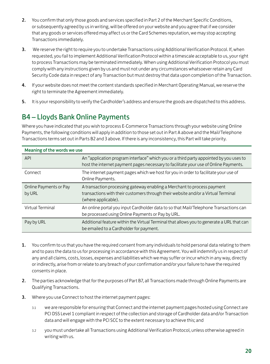- 2. You confirm that only those goods and services specified in Part 2 of the Merchant Specific Conditions, or subsequently agreed by us in writing, will be offered on your website and you agree that if we consider that any goods or services offered may affect us or the Card Schemes reputation, we may stop accepting Transactions immediately.
- 3. We reserve the right to require you to undertake Transactions using Additional Verification Protocol. If, when requested, you fail to implement Additional Verification Protocol within a timescale acceptable to us, your right to process Transactions may be terminated immediately. When using Additional Verification Protocol you must comply with any instructions given by us and must not under any circumstances whatsoever retain any Card Security Code data in respect of any Transaction but must destroy that data upon completion of the Transaction.
- 4. If your website does not meet the content standards specified in Merchant Operating Manual, we reserve the right to terminate the Agreement immediately.
- 5. It is your responsibility to verify the Cardholder's address and ensure the goods are dispatched to this address.

### B4 – Lloyds Bank Online Payments

Where you have indicated that you wish to process E-Commerce Transactions through your website using Online Payments, the following conditions will apply in addition to those set out in Part A above and the Mail/Telephone Transactions terms set out in Parts B2 and 3 above. If there is any inconsistency, this Part will take priority.

| Meaning of the words we use      |                                                                                                                                                                                     |  |
|----------------------------------|-------------------------------------------------------------------------------------------------------------------------------------------------------------------------------------|--|
| API                              | An "application program interface" which you or a third party appointed by you uses to<br>host the internet payment pages necessary to facilitate your use of Online Payments.      |  |
| Connect                          | The internet payment pages which we host for you in order to facilitate your use of<br>Online Payments.                                                                             |  |
| Online Payments or Pay<br>by URL | A transaction processing gateway enabling a Merchant to process payment<br>transactions with their customers through their website and/or a Virtual Terminal<br>(where applicable). |  |
| Virtual Terminal                 | An online portal you input Cardholder data to so that Mail/Telephone Transactions can<br>be processed using Online Payments or Pay by URL.                                          |  |
| Pay by URL                       | Additional feature within the Virtual Terminal that allows you to generate a URL that can<br>be emailed to a Cardholder for payment.                                                |  |

- 1. You confirm to us that you have the required consent from any individuals to hold personal data relating to them and to pass the data to us for processing in accordance with this Agreement. You will indemnify us in respect of any and all claims, costs, losses, expenses and liabilities which we may suffer or incur which in any way, directly or indirectly, arise from or relate to any breach of your confirmation and/or your failure to have the required consents in place.
- 2. The parties acknowledge that for the purposes of Part B7, all Transactions made through Online Payments are Qualifying Transactions.
- 3. Where you use Connect to host the internet payment pages:
	- 3.1 we are responsible for ensuring that Connect and the internet payment pages hosted using Connect are PCI DSS Level 1 compliant in respect of the collection and storage of Cardholder data and/or Transaction data and will engage with the PCI SCC to the extent necessary to achieve this; and
	- 3.2 you must undertake all Transactions using Additional Verification Protocol, unless otherwise agreed in writing with us.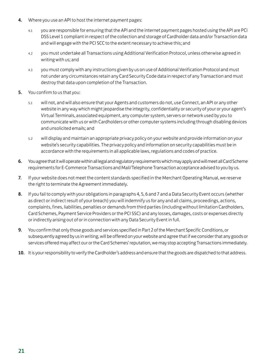- 4. Where you use an API to host the internet payment pages:
	- 4.1 you are responsible for ensuring that the API and the internet payment pages hosted using the API are PCI DSS Level 1 compliant in respect of the collection and storage of Cardholder data and/or Transaction data and will engage with the PCI SCC to the extent necessary to achieve this; and
	- 4.2 you must undertake all Transactions using Additional Verification Protocol, unless otherwise agreed in writing with us; and
	- 4.3 you must comply with any instructions given by us on use of Additional Verification Protocol and must not under any circumstances retain any Card Security Code data in respect of any Transaction and must destroy that data upon completion of the Transaction.
- 5. You confirm to us that you:
	- 5.1 will not, and will also ensure that your Agents and customers do not, use Connect, an API or any other website in any way which might jeopardise the integrity, confidentiality or security of your or your agent's Virtual Terminals, associated equipment, any computer system, servers or network used by you to communicate with us or with Cardholders or other computer systems including through disabling devices and unsolicited emails; and
	- 5.2 will display and maintain an appropriate privacy policy on your website and provide information on your website's security capabilities. The privacy policy and information on security capabilities must be in accordance with the requirements in all applicable laws, regulations and codes of practice.
- 6. You agree that it will operate within all legal and regulatory requirements which may apply and will meet all Card Scheme requirements for E-Commerce Transactions and Mail/Telephone Transaction acceptance advised to you by us.
- 7. If your website does not meet the content standards specified in the Merchant Operating Manual, we reserve the right to terminate the Agreement immediately.
- 8. If you fail to comply with your obligations in paragraphs 4, 5, 6 and 7 and a Data Security Event occurs (whether as direct or indirect result of your breach) you will indemnify us for any and all claims, proceedings, actions, complaints, fines, liabilities, penalties or demands from third parties (including without limitation Cardholders, Card Schemes, Payment Service Providers or the PCI SSC) and any losses, damages, costs or expenses directly or indirectly arising out of or in connection with any Data Security Event in full.
- 9. You confirm that only those goods and services specified in Part 2 of the Merchant Specific Conditions, or subsequently agreed by us in writing, will be offered on your website and agree that if we consider that any goods or services offered may affect our or the Card Schemes' reputation, we may stop accepting Transactions immediately.
- 10. It is your responsibility to verify the Cardholder's address and ensure that the goods are dispatched to that address.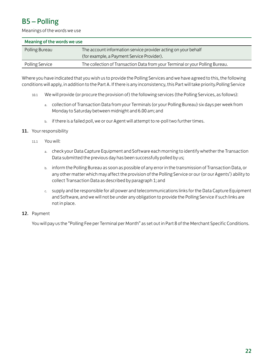### B5 – Polling

Meanings of the words we use

| Meaning of the words we use |                                                                               |
|-----------------------------|-------------------------------------------------------------------------------|
| Polling Bureau              | The account information service provider acting on your behalf                |
|                             | (for example, a Payment Service Provider).                                    |
| Polling Service             | The collection of Transaction Data from your Terminal or your Polling Bureau. |

Where you have indicated that you wish us to provide the Polling Services and we have agreed to this, the following conditions will apply, in addition to the Part A. If there is any inconsistency, this Part will take priority.Polling Service

- 10.1 We will provide (or procure the provision of) the following services (the Polling Services, as follows):
	- a. collection of Transaction Data from your Terminals (or your Polling Bureau) six days per week from Monday to Saturday between midnight and 6.00 am; and
	- b. if there is a failed poll, we or our Agent will attempt to re-poll two further times.

#### 11. Your responsibility

- 11.1 You will:
	- a. check your Data Capture Equipment and Software each morning to identify whether the Transaction Data submitted the previous day has been successfully polled by us;
	- b. inform the Polling Bureau as soon as possible of any error in the transmission of Transaction Data, or any other matter which may affect the provision of the Polling Service or our (or our Agents') ability to collect Transaction Data as described by paragraph 1; and
	- c. supply and be responsible for all power and telecommunications links for the Data Capture Equipment and Software, and we will not be under any obligation to provide the Polling Service if such links are not in place.

#### 12. Payment

You will pay us the "Polling Fee per Terminal per Month" as set out in Part 8 of the Merchant Specific Conditions.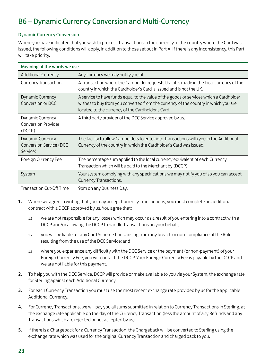## B6 – Dynamic Currency Conversion and Multi-Currency

#### Dynamic Currency Conversion

Where you have indicated that you wish to process Transactions in the currency of the country where the Card was issued, the following conditions will apply, in addition to those set out in Part A. If there is any inconsistency, this Part will take priority.

| Meaning of the words we use                                    |                                                                                                                                                                                                                                   |  |
|----------------------------------------------------------------|-----------------------------------------------------------------------------------------------------------------------------------------------------------------------------------------------------------------------------------|--|
| <b>Additional Currency</b>                                     | Any currency we may notify you of.                                                                                                                                                                                                |  |
| Currency Transaction                                           | A Transaction where the Cardholder requests that it is made in the local currency of the<br>country in which the Cardholder's Card is issued and is not the UK.                                                                   |  |
| <b>Dynamic Currency</b><br>Conversion or DCC                   | A service to have funds equal to the value of the goods or services which a Cardholder<br>wishes to buy from you converted from the currency of the country in which you are<br>located to the currency of the Cardholder's Card. |  |
| Dynamic Currency<br>Conversion Provider<br>(DCCP)              | A third party provider of the DCC Service approved by us.                                                                                                                                                                         |  |
| <b>Dynamic Currency</b><br>Conversion Service (DCC<br>Service) | The facility to allow Cardholders to enter into Transactions with you in the Additional<br>Currency of the country in which the Cardholder's Card was issued.                                                                     |  |
| Foreign Currency Fee                                           | The percentage sum applied to the local currency equivalent of each Currency<br>Transaction which will be paid to the Merchant by (DCCP).                                                                                         |  |
| System                                                         | Your system complying with any specifications we may notify you of so you can accept<br>Currency Transactions.                                                                                                                    |  |
| <b>Transaction Cut-Off Time</b>                                | 9pm on any Business Day.                                                                                                                                                                                                          |  |

- 1. Where we agree in writing that you may accept Currency Transactions, you must complete an additional contract with a DCCP approved by us. You agree that:
	- 1.1 we are not responsible for any losses which may occur as a result of you entering into a contract with a DCCP and/or allowing the DCCP to handle Transactions on your behalf;
	- 1.2 you will be liable for any Card Scheme fines arising from any breach or non-compliance of the Rules resulting from the use of the DCC Service; and
	- 1.3 where you experience any difficulty with the DCC Service or the payment (or non-payment) of your Foreign Currency Fee, you will contact the DCCP. Your Foreign Currency Fee is payable by the DCCP and we are not liable for this payment.
- 2. To help you with the DCC Service, DCCP will provide or make available to you via your System, the exchange rate for Sterling against each Additional Currency.
- 3. For each Currency Transaction you must use the most recent exchange rate provided by us for the applicable Additional Currency.
- 4. For Currency Transactions, we will pay you all sums submitted in relation to Currency Transactions in Sterling, at the exchange rate applicable on the day of the Currency Transaction (less the amount of any Refunds and any Transactions which are rejected or not accepted by us).
- 5. If there is a Chargeback for a Currency Transaction, the Chargeback will be converted to Sterling using the exchange rate which was used for the original Currency Transaction and charged back to you.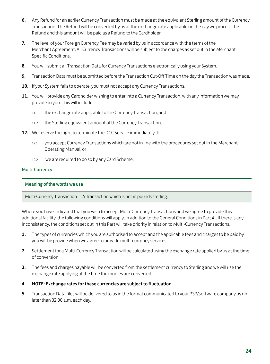- 6. Any Refund for an earlier Currency Transaction must be made at the equivalent Sterling amount of the Currency Transaction. The Refund will be converted by us at the exchange rate applicable on the day we process the Refund and this amount will be paid as a Refund to the Cardholder.
- 7. The level of your Foreign Currency Fee may be varied by us in accordance with the terms of the Merchant Agreement. All Currency Transactions will be subject to the charges as set out in the Merchant Specific Conditions.
- 8. You will submit all Transaction Data for Currency Transactions electronically using your System.
- 9. Transaction Data must be submitted before the Transaction Cut-Off Time on the day the Transaction was made.
- 10. If your System fails to operate, you must not accept any Currency Transactions.
- 11. You will provide any Cardholder wishing to enter into a Currency Transaction, with any information we may provide to you. This will include:
	- 11.1 the exchange rate applicable to the Currency Transaction; and
	- 11.2 the Sterling equivalent amount of the Currency Transaction.
- 12. We reserve the right to terminate the DCC Service immediately if:
	- 12.1 you accept Currency Transactions which are not in line with the procedures set out in the Merchant Operating Manual, or
	- 12.2 we are required to do so by any Card Scheme.

#### Multi-Currency

#### Meaning of the words we use

Multi-Currency Transaction A Transaction which is not in pounds sterling.

Where you have indicated that you wish to accept Multi-Currency Transactions and we agree to provide this additional facility, the following conditions will apply, in addition to the General Conditions in Part A.. If there is any inconsistency, the conditions set out in this Part will take priority in relation to Multi-Currency Transactions.

- 1. The types of currencies which you are authorised to accept and the applicable fees and charges to be paid by you will be provide when we agree to provide multi-currency services.
- 2. Settlement for a Multi-Currency Transaction will be calculated using the exchange rate applied by us at the time of conversion.
- 3. The fees and charges payable will be converted from the settlement currency to Sterling and we will use the exchange rate applying at the time the monies are converted.
- 4. NOTE: Exchange rates for these currencies are subject to fluctuation.
- 5. Transaction Data files will be delivered to us in the format communicated to your PSP/software company by no later than 02.00 a.m. each day.